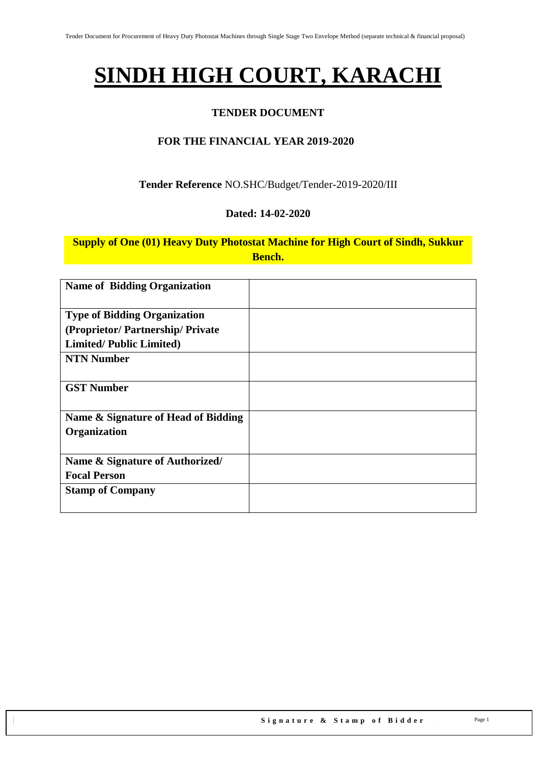# **SINDH HIGH COURT, KARACHI**

#### **TENDER DOCUMENT**

#### **FOR THE FINANCIAL YEAR 2019-2020**

#### **Tender Reference** NO.SHC/Budget/Tender-2019-2020/III

#### **Dated: 14-02-2020**

## **Supply of One (01) Heavy Duty Photostat Machine for High Court of Sindh, Sukkur Bench.**

| <b>Name of Bidding Organization</b> |  |
|-------------------------------------|--|
| <b>Type of Bidding Organization</b> |  |
| (Proprietor/Partnership/Private     |  |
| <b>Limited/Public Limited)</b>      |  |
| <b>NTN Number</b>                   |  |
|                                     |  |
| <b>GST Number</b>                   |  |
|                                     |  |
| Name & Signature of Head of Bidding |  |
| Organization                        |  |
|                                     |  |
| Name & Signature of Authorized/     |  |
| <b>Focal Person</b>                 |  |
| <b>Stamp of Company</b>             |  |
|                                     |  |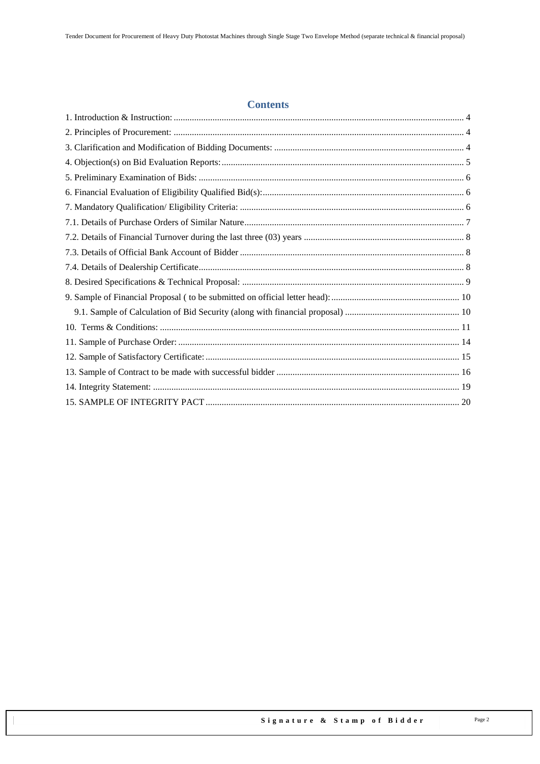#### **Contents**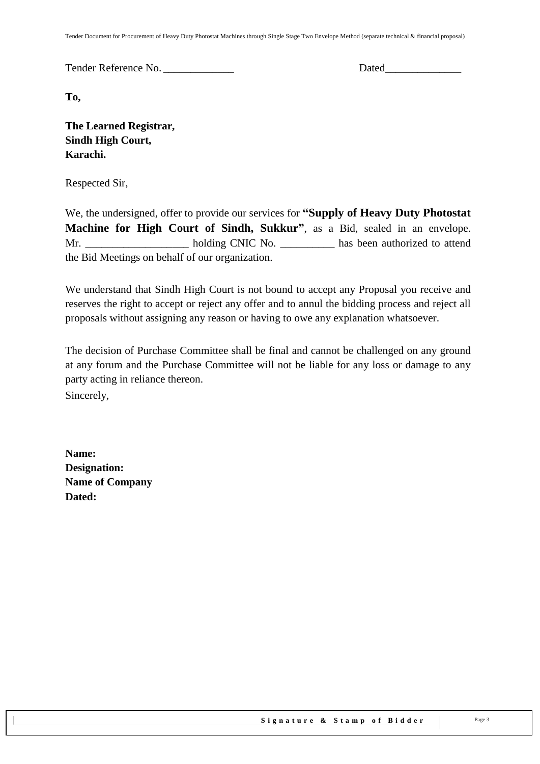Tender Document for Procurement of Heavy Duty Photostat Machines through Single Stage Two Envelope Method (separate technical & financial proposal)

Tender Reference No. \_\_\_\_\_\_\_\_\_\_\_\_\_ Dated\_\_\_\_\_\_\_\_\_\_\_\_\_\_

**To,** 

**The Learned Registrar, Sindh High Court, Karachi.**

Respected Sir,

We, the undersigned, offer to provide our services for **"Supply of Heavy Duty Photostat Machine for High Court of Sindh, Sukkur"**, as a Bid, sealed in an envelope. Mr. holding CNIC No. has been authorized to attend the Bid Meetings on behalf of our organization.

We understand that Sindh High Court is not bound to accept any Proposal you receive and reserves the right to accept or reject any offer and to annul the bidding process and reject all proposals without assigning any reason or having to owe any explanation whatsoever.

The decision of Purchase Committee shall be final and cannot be challenged on any ground at any forum and the Purchase Committee will not be liable for any loss or damage to any party acting in reliance thereon.

Sincerely,

**Name: Designation: Name of Company Dated:**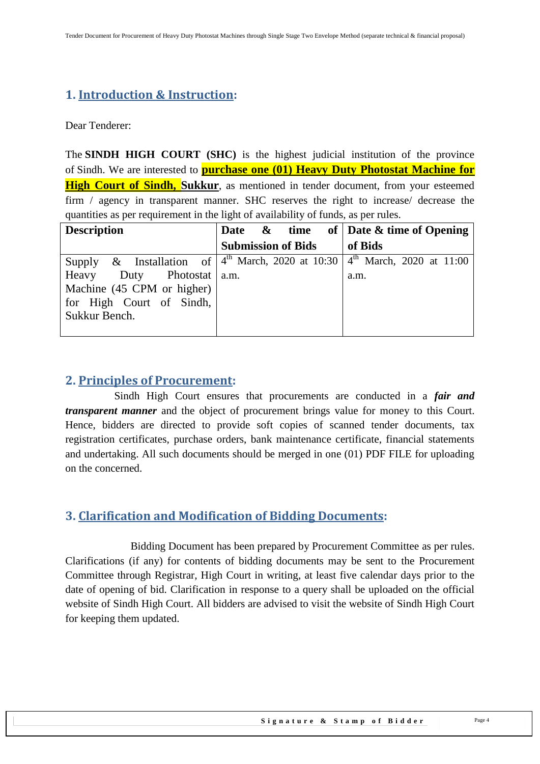## <span id="page-3-0"></span>**1. Introduction & Instruction:**

Dear Tenderer:

The **SINDH HIGH COURT (SHC)** is the highest judicial institution of the province of [Sindh.](https://en.wikipedia.org/wiki/Sindh) We are interested to **purchase one (01) Heavy Duty Photostat Machine for High Court of Sindh, Sukkur**, as mentioned in tender document, from your esteemed firm / agency in transparent manner. SHC reserves the right to increase/ decrease the quantities as per requirement in the light of availability of funds, as per rules.

| <b>Description</b>           | Date & time               | of   Date & time of Opening                                                   |
|------------------------------|---------------------------|-------------------------------------------------------------------------------|
|                              | <b>Submission of Bids</b> | of Bids                                                                       |
| Supply                       |                           | & Installation of $4^{th}$ March, 2020 at 10:30 $4^{th}$ March, 2020 at 11:00 |
| Duty Photostat a.m.<br>Heavy |                           | a.m.                                                                          |
| Machine (45 CPM or higher)   |                           |                                                                               |
| for High Court of Sindh,     |                           |                                                                               |
| Sukkur Bench.                |                           |                                                                               |
|                              |                           |                                                                               |

## <span id="page-3-1"></span>**2. Principles of Procurement:**

 Sindh High Court ensures that procurements are conducted in a *fair and transparent manner* and the object of procurement brings value for money to this Court. Hence, bidders are directed to provide soft copies of scanned tender documents, tax registration certificates, purchase orders, bank maintenance certificate, financial statements and undertaking. All such documents should be merged in one (01) PDF FILE for uploading on the concerned.

## <span id="page-3-2"></span>**3. Clarification and Modification of Bidding Documents:**

Bidding Document has been prepared by Procurement Committee as per rules. Clarifications (if any) for contents of bidding documents may be sent to the Procurement Committee through Registrar, High Court in writing, at least five calendar days prior to the date of opening of bid. Clarification in response to a query shall be uploaded on the official website of Sindh High Court. All bidders are advised to visit the website of Sindh High Court for keeping them updated.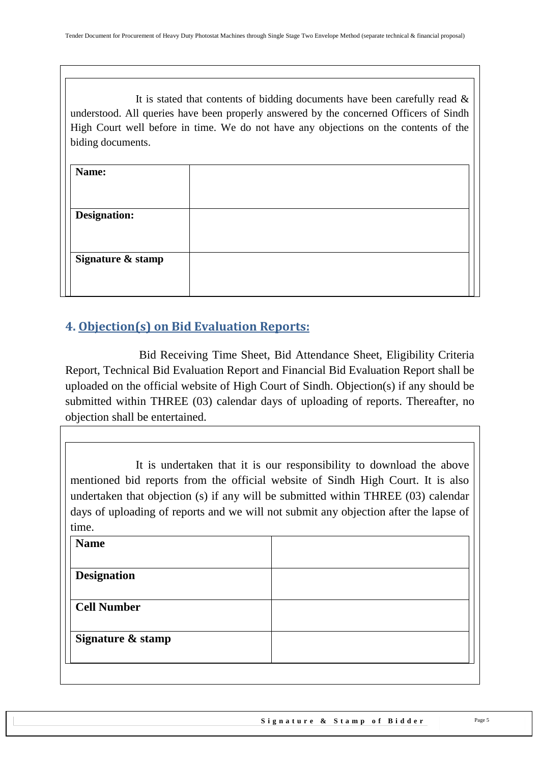It is stated that contents of bidding documents have been carefully read  $\&$ understood. All queries have been properly answered by the concerned Officers of Sindh High Court well before in time. We do not have any objections on the contents of the biding documents.

| Name:               |  |
|---------------------|--|
|                     |  |
| <b>Designation:</b> |  |
|                     |  |
| Signature & stamp   |  |
|                     |  |
|                     |  |

## <span id="page-4-0"></span>**4. Objection(s) on Bid Evaluation Reports:**

 Bid Receiving Time Sheet, Bid Attendance Sheet, Eligibility Criteria Report, Technical Bid Evaluation Report and Financial Bid Evaluation Report shall be uploaded on the official website of High Court of Sindh. Objection(s) if any should be submitted within THREE (03) calendar days of uploading of reports. Thereafter, no objection shall be entertained.

It is undertaken that it is our responsibility to download the above mentioned bid reports from the official website of Sindh High Court. It is also undertaken that objection (s) if any will be submitted within THREE (03) calendar days of uploading of reports and we will not submit any objection after the lapse of time.

| <b>Name</b>        |  |
|--------------------|--|
| <b>Designation</b> |  |
| <b>Cell Number</b> |  |
|                    |  |
| Signature & stamp  |  |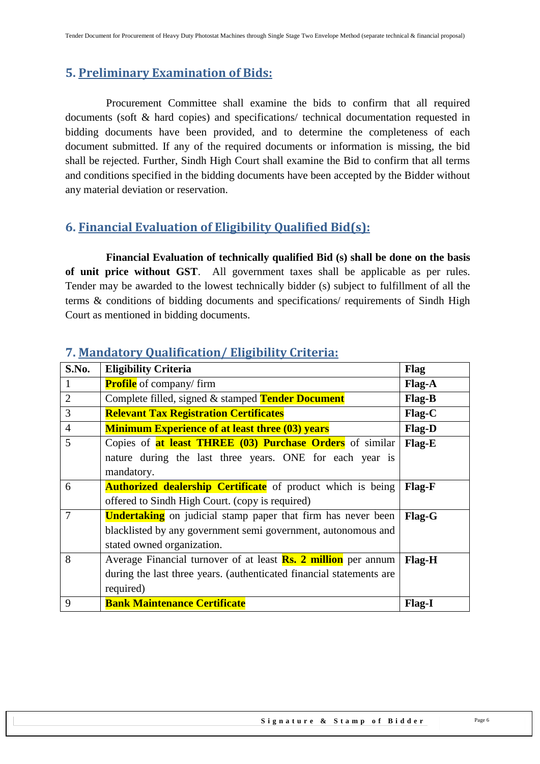## <span id="page-5-0"></span>**5. Preliminary Examination of Bids:**

 Procurement Committee shall examine the bids to confirm that all required documents (soft & hard copies) and specifications/ technical documentation requested in bidding documents have been provided, and to determine the completeness of each document submitted. If any of the required documents or information is missing, the bid shall be rejected. Further, Sindh High Court shall examine the Bid to confirm that all terms and conditions specified in the bidding documents have been accepted by the Bidder without any material deviation or reservation.

## <span id="page-5-1"></span>**6. Financial Evaluation of Eligibility Qualified Bid(s):**

 **Financial Evaluation of technically qualified Bid (s) shall be done on the basis of unit price without GST**. All government taxes shall be applicable as per rules. Tender may be awarded to the lowest technically bidder (s) subject to fulfillment of all the terms & conditions of bidding documents and specifications/ requirements of Sindh High Court as mentioned in bidding documents.

| S.No.          | <b>Eligibility Criteria</b>                                                          | Flag          |  |
|----------------|--------------------------------------------------------------------------------------|---------------|--|
|                | <b>Profile</b> of company/firm                                                       | Flag-A        |  |
| $\overline{2}$ | Complete filled, signed & stamped Tender Document                                    | Flag-B        |  |
| 3              | <b>Relevant Tax Registration Certificates</b>                                        | $Flag-C$      |  |
| $\overline{4}$ | <b>Minimum Experience of at least three (03) years</b>                               | Flag-D        |  |
| 5              | Copies of at least THREE (03) Purchase Orders of similar                             | Flag-E        |  |
|                | nature during the last three years. ONE for each year is                             |               |  |
|                | mandatory.                                                                           |               |  |
| 6              | <b>Authorized dealership Certificate</b> of product which is being                   | <b>Flag-F</b> |  |
|                | offered to Sindh High Court. (copy is required)                                      |               |  |
| 7              | <b>Undertaking</b> on judicial stamp paper that firm has never been<br><b>Flag-G</b> |               |  |
|                | blacklisted by any government semi government, autonomous and                        |               |  |
|                | stated owned organization.                                                           |               |  |
| 8              | Average Financial turnover of at least <b>Rs. 2 million</b> per annum                | <b>Flag-H</b> |  |
|                | during the last three years. (authenticated financial statements are                 |               |  |
|                | required)                                                                            |               |  |
| 9              | <b>Bank Maintenance Certificate</b>                                                  | <b>Flag-I</b> |  |

## <span id="page-5-2"></span>**7. Mandatory Qualification/ Eligibility Criteria:**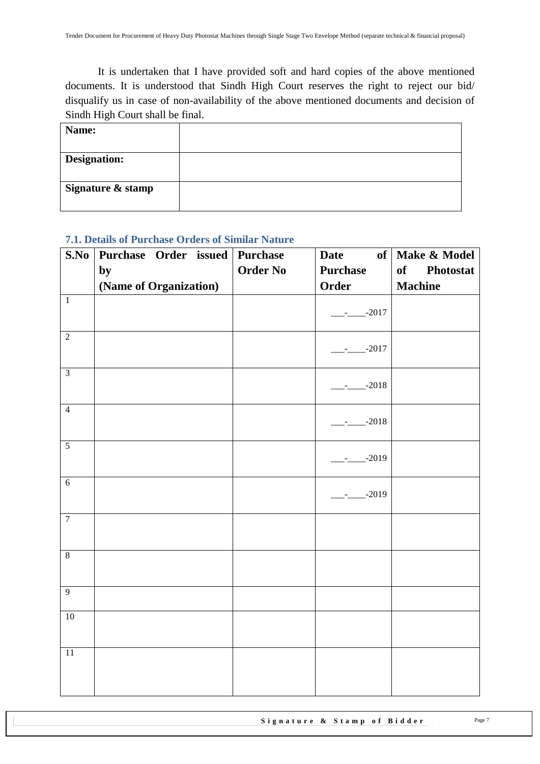It is undertaken that I have provided soft and hard copies of the above mentioned documents. It is understood that Sindh High Court reserves the right to reject our bid/ disqualify us in case of non-availability of the above mentioned documents and decision of Sindh High Court shall be final.

| Name:             |  |
|-------------------|--|
|                   |  |
| Designation:      |  |
|                   |  |
| Signature & stamp |  |
|                   |  |

#### <span id="page-6-0"></span>**7.1. Details of Purchase Orders of Similar Nature**

| S.No           | Purchase Order issued Purchase |                 | of<br><b>Date</b> | Make & Model           |
|----------------|--------------------------------|-----------------|-------------------|------------------------|
|                | by                             | <b>Order No</b> | <b>Purchase</b>   | of<br><b>Photostat</b> |
|                | (Name of Organization)         |                 | Order             | <b>Machine</b>         |
| $\overline{1}$ |                                |                 | $---2017$         |                        |
| $\overline{2}$ |                                |                 | $-2017$           |                        |
| $\overline{3}$ |                                |                 | $-2018$           |                        |
| $\overline{4}$ |                                |                 | $-2018$           |                        |
| $\overline{5}$ |                                |                 | $-2019$           |                        |
| $\overline{6}$ |                                |                 | $-2019$           |                        |
| $\overline{7}$ |                                |                 |                   |                        |
| $\overline{8}$ |                                |                 |                   |                        |
| $\overline{9}$ |                                |                 |                   |                        |
| 10             |                                |                 |                   |                        |
| 11             |                                |                 |                   |                        |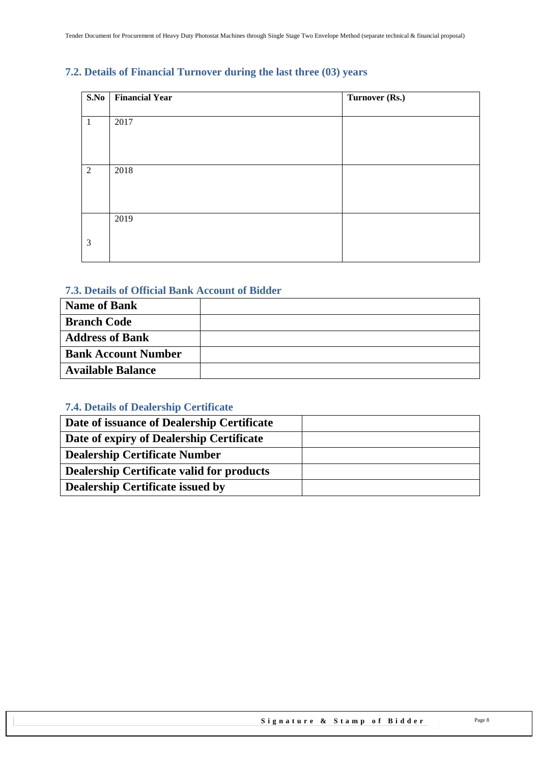## <span id="page-7-0"></span>**7.2. Details of Financial Turnover during the last three (03) years**

| S.No           | <b>Financial Year</b> | Turnover (Rs.) |
|----------------|-----------------------|----------------|
|                |                       |                |
| -1             | 2017                  |                |
|                |                       |                |
|                |                       |                |
|                |                       |                |
| $\overline{2}$ | 2018                  |                |
|                |                       |                |
|                |                       |                |
|                |                       |                |
|                | 2019                  |                |
|                |                       |                |
| 3              |                       |                |
|                |                       |                |

#### <span id="page-7-1"></span>**7.3. Details of Official Bank Account of Bidder**

| <b>Name of Bank</b>        |  |
|----------------------------|--|
| <b>Branch Code</b>         |  |
| <b>Address of Bank</b>     |  |
| <b>Bank Account Number</b> |  |
| <b>Available Balance</b>   |  |

## <span id="page-7-2"></span>**7.4. Details of Dealership Certificate**

| Date of issuance of Dealership Certificate |  |
|--------------------------------------------|--|
| Date of expiry of Dealership Certificate   |  |
| <b>Dealership Certificate Number</b>       |  |
| Dealership Certificate valid for products  |  |
| <b>Dealership Certificate issued by</b>    |  |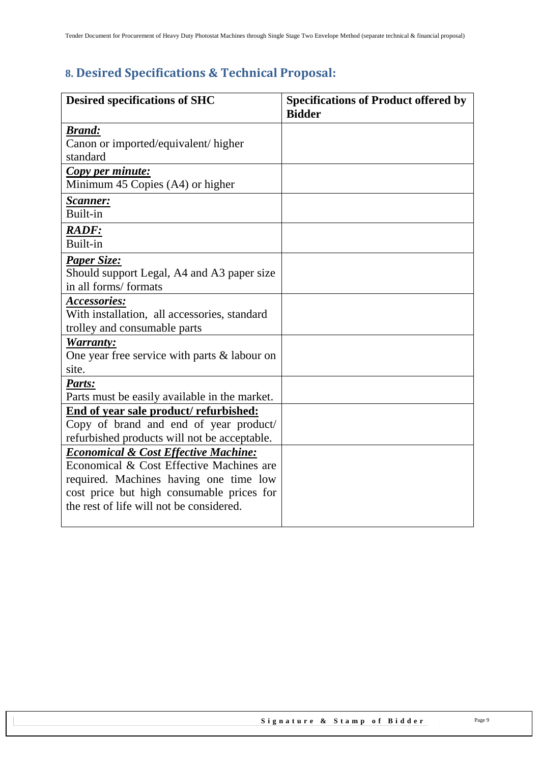# <span id="page-8-0"></span>**8. Desired Specifications & Technical Proposal:**

| <b>Desired specifications of SHC</b>                 | <b>Specifications of Product offered by</b><br><b>Bidder</b> |
|------------------------------------------------------|--------------------------------------------------------------|
| <b>Brand:</b>                                        |                                                              |
| Canon or imported/equivalent/ higher                 |                                                              |
| standard                                             |                                                              |
| Copy per minute:<br>Minimum 45 Copies (A4) or higher |                                                              |
|                                                      |                                                              |
| <u>Scanner:</u>                                      |                                                              |
| Built-in                                             |                                                              |
| RADF:                                                |                                                              |
| Built-in                                             |                                                              |
| Paper Size:                                          |                                                              |
| Should support Legal, A4 and A3 paper size           |                                                              |
| in all forms/formats                                 |                                                              |
| Accessories:                                         |                                                              |
| With installation, all accessories, standard         |                                                              |
| trolley and consumable parts                         |                                                              |
| Warranty:                                            |                                                              |
| One year free service with parts $\&$ labour on      |                                                              |
| site.                                                |                                                              |
| Parts:                                               |                                                              |
| Parts must be easily available in the market.        |                                                              |
| End of year sale product/refurbished:                |                                                              |
| Copy of brand and end of year product/               |                                                              |
| refurbished products will not be acceptable.         |                                                              |
| <b>Economical &amp; Cost Effective Machine:</b>      |                                                              |
| Economical & Cost Effective Machines are             |                                                              |
| required. Machines having one time low               |                                                              |
| cost price but high consumable prices for            |                                                              |
| the rest of life will not be considered.             |                                                              |
|                                                      |                                                              |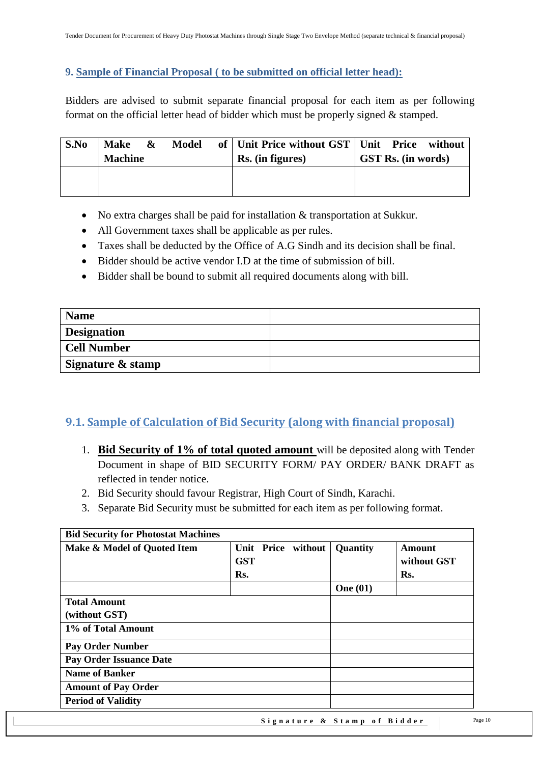#### <span id="page-9-0"></span>**9. Sample of Financial Proposal ( to be submitted on official letter head):**

Bidders are advised to submit separate financial proposal for each item as per following format on the official letter head of bidder which must be properly signed & stamped.

| S.No | <b>Make</b><br><b>Machine</b> | $\boldsymbol{\alpha}$ | <b>Model</b> | of   Unit Price without GST   Unit Price without<br>Rs. (in figures) | <b>GST Rs.</b> (in words) |
|------|-------------------------------|-----------------------|--------------|----------------------------------------------------------------------|---------------------------|
|      |                               |                       |              |                                                                      |                           |

- No extra charges shall be paid for installation & transportation at Sukkur.
- All Government taxes shall be applicable as per rules.
- Taxes shall be deducted by the Office of A.G Sindh and its decision shall be final.
- Bidder should be active vendor I.D at the time of submission of bill.
- Bidder shall be bound to submit all required documents along with bill.

| <b>Name</b>        |  |
|--------------------|--|
| <b>Designation</b> |  |
| Cell Number        |  |
| Signature & stamp  |  |

## <span id="page-9-1"></span>**9.1. Sample of Calculation of Bid Security (along with financial proposal)**

- 1. **Bid Security of 1% of total quoted amount** will be deposited along with Tender Document in shape of BID SECURITY FORM/ PAY ORDER/ BANK DRAFT as reflected in tender notice.
- 2. Bid Security should favour Registrar, High Court of Sindh, Karachi.
- 3. Separate Bid Security must be submitted for each item as per following format.

| <b>Bid Security for Photostat Machines</b> |            |                    |                 |                       |
|--------------------------------------------|------------|--------------------|-----------------|-----------------------|
| Make & Model of Quoted Item                | <b>GST</b> | Unit Price without | Quantity        | Amount<br>without GST |
|                                            | Rs.        |                    |                 | Rs.                   |
|                                            |            |                    | <b>One</b> (01) |                       |
| <b>Total Amount</b>                        |            |                    |                 |                       |
| (without GST)                              |            |                    |                 |                       |
| 1% of Total Amount                         |            |                    |                 |                       |
| <b>Pay Order Number</b>                    |            |                    |                 |                       |
| <b>Pay Order Issuance Date</b>             |            |                    |                 |                       |
| <b>Name of Banker</b>                      |            |                    |                 |                       |
| <b>Amount of Pay Order</b>                 |            |                    |                 |                       |
| <b>Period of Validity</b>                  |            |                    |                 |                       |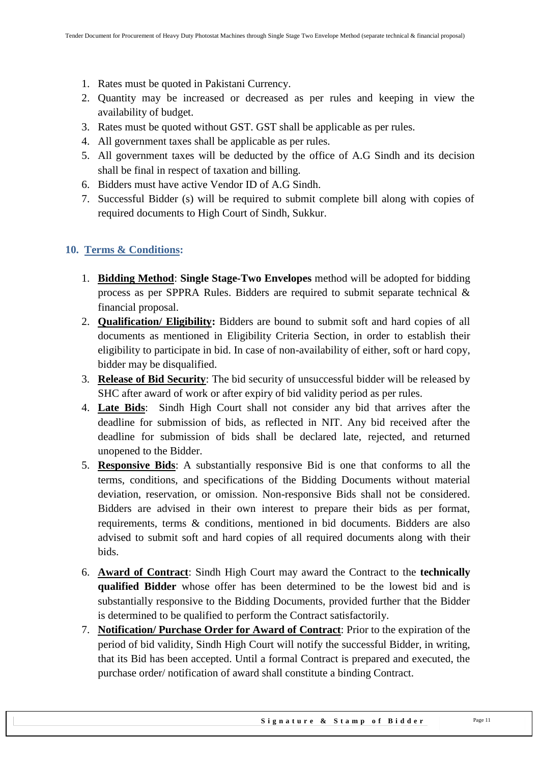- 1. Rates must be quoted in Pakistani Currency.
- 2. Quantity may be increased or decreased as per rules and keeping in view the availability of budget.
- 3. Rates must be quoted without GST. GST shall be applicable as per rules.
- 4. All government taxes shall be applicable as per rules.
- 5. All government taxes will be deducted by the office of A.G Sindh and its decision shall be final in respect of taxation and billing.
- 6. Bidders must have active Vendor ID of A.G Sindh.
- 7. Successful Bidder (s) will be required to submit complete bill along with copies of required documents to High Court of Sindh, Sukkur.

#### <span id="page-10-0"></span>**10. Terms & Conditions:**

- 1. **Bidding Method**: **Single Stage-Two Envelopes** method will be adopted for bidding process as per SPPRA Rules. Bidders are required to submit separate technical & financial proposal.
- 2. **Qualification/ Eligibility:** Bidders are bound to submit soft and hard copies of all documents as mentioned in Eligibility Criteria Section, in order to establish their eligibility to participate in bid. In case of non-availability of either, soft or hard copy, bidder may be disqualified.
- 3. **Release of Bid Security**: The bid security of unsuccessful bidder will be released by SHC after award of work or after expiry of bid validity period as per rules.
- 4. **Late Bids**: Sindh High Court shall not consider any bid that arrives after the deadline for submission of bids, as reflected in NIT. Any bid received after the deadline for submission of bids shall be declared late, rejected, and returned unopened to the Bidder.
- 5. **Responsive Bids**: A substantially responsive Bid is one that conforms to all the terms, conditions, and specifications of the Bidding Documents without material deviation, reservation, or omission. Non-responsive Bids shall not be considered. Bidders are advised in their own interest to prepare their bids as per format, requirements, terms & conditions, mentioned in bid documents. Bidders are also advised to submit soft and hard copies of all required documents along with their bids.
- 6. **Award of Contract**: Sindh High Court may award the Contract to the **technically qualified Bidder** whose offer has been determined to be the lowest bid and is substantially responsive to the Bidding Documents, provided further that the Bidder is determined to be qualified to perform the Contract satisfactorily.
- 7. **Notification/ Purchase Order for Award of Contract**: Prior to the expiration of the period of bid validity, Sindh High Court will notify the successful Bidder, in writing, that its Bid has been accepted. Until a formal Contract is prepared and executed, the purchase order/ notification of award shall constitute a binding Contract.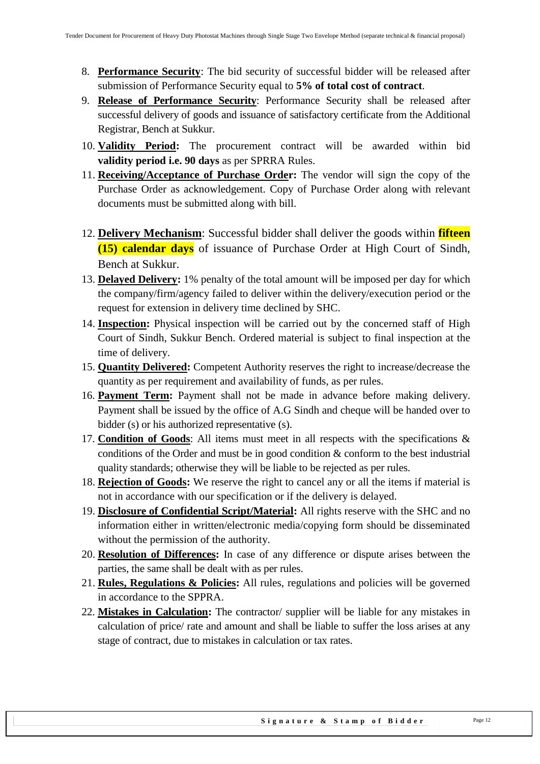- 8. **Performance Security**: The bid security of successful bidder will be released after submission of Performance Security equal to **5% of total cost of contract**.
- 9. **Release of Performance Security**: Performance Security shall be released after successful delivery of goods and issuance of satisfactory certificate from the Additional Registrar, Bench at Sukkur.
- 10. **Validity Period:** The procurement contract will be awarded within bid **validity period i.e. 90 days** as per SPRRA Rules.
- 11. **Receiving/Acceptance of Purchase Order:** The vendor will sign the copy of the Purchase Order as acknowledgement. Copy of Purchase Order along with relevant documents must be submitted along with bill.
- 12. **Delivery Mechanism**: Successful bidder shall deliver the goods within **fifteen (15) calendar days** of issuance of Purchase Order at High Court of Sindh, Bench at Sukkur.
- 13. **Delayed Delivery:** 1% penalty of the total amount will be imposed per day for which the company/firm/agency failed to deliver within the delivery/execution period or the request for extension in delivery time declined by SHC.
- 14. **Inspection:** Physical inspection will be carried out by the concerned staff of High Court of Sindh, Sukkur Bench. Ordered material is subject to final inspection at the time of delivery.
- 15. **Quantity Delivered:** Competent Authority reserves the right to increase/decrease the quantity as per requirement and availability of funds, as per rules.
- 16. **Payment Term:** Payment shall not be made in advance before making delivery. Payment shall be issued by the office of A.G Sindh and cheque will be handed over to bidder (s) or his authorized representative (s).
- 17. **Condition of Goods**: All items must meet in all respects with the specifications & conditions of the Order and must be in good condition & conform to the best industrial quality standards; otherwise they will be liable to be rejected as per rules.
- 18. **Rejection of Goods:** We reserve the right to cancel any or all the items if material is not in accordance with our specification or if the delivery is delayed.
- 19. **Disclosure of Confidential Script/Material:** All rights reserve with the SHC and no information either in written/electronic media/copying form should be disseminated without the permission of the authority.
- 20. **Resolution of Differences:** In case of any difference or dispute arises between the parties, the same shall be dealt with as per rules.
- 21. **Rules, Regulations & Policies:** All rules, regulations and policies will be governed in accordance to the SPPRA.
- 22. **Mistakes in Calculation:** The contractor/ supplier will be liable for any mistakes in calculation of price/ rate and amount and shall be liable to suffer the loss arises at any stage of contract, due to mistakes in calculation or tax rates.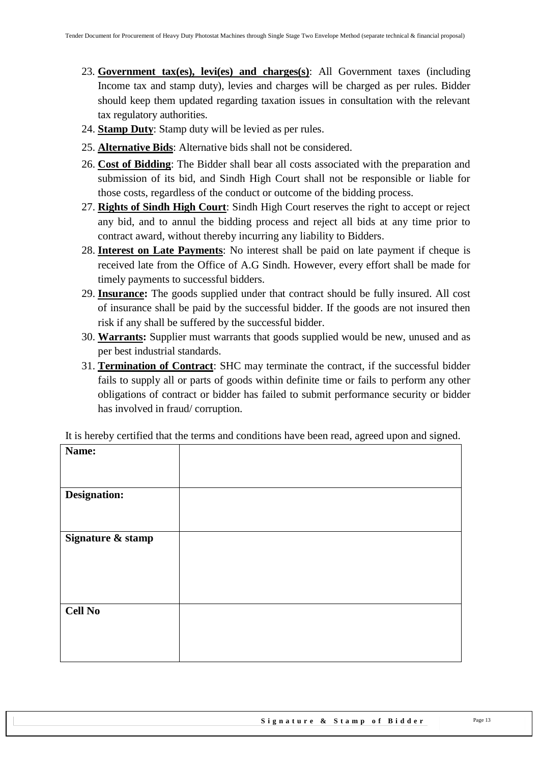- 23. **Government tax(es), levi(es) and charges(s)**: All Government taxes (including Income tax and stamp duty), levies and charges will be charged as per rules. Bidder should keep them updated regarding taxation issues in consultation with the relevant tax regulatory authorities.
- 24. **Stamp Duty**: Stamp duty will be levied as per rules.
- 25. **Alternative Bids**: Alternative bids shall not be considered.
- 26. **Cost of Bidding**: The Bidder shall bear all costs associated with the preparation and submission of its bid, and Sindh High Court shall not be responsible or liable for those costs, regardless of the conduct or outcome of the bidding process.
- 27. **Rights of Sindh High Court**: Sindh High Court reserves the right to accept or reject any bid, and to annul the bidding process and reject all bids at any time prior to contract award, without thereby incurring any liability to Bidders.
- 28. **Interest on Late Payments**: No interest shall be paid on late payment if cheque is received late from the Office of A.G Sindh. However, every effort shall be made for timely payments to successful bidders.
- 29. **Insurance:** The goods supplied under that contract should be fully insured. All cost of insurance shall be paid by the successful bidder. If the goods are not insured then risk if any shall be suffered by the successful bidder.
- 30. **Warrants:** Supplier must warrants that goods supplied would be new, unused and as per best industrial standards.
- 31. **Termination of Contract**: SHC may terminate the contract, if the successful bidder fails to supply all or parts of goods within definite time or fails to perform any other obligations of contract or bidder has failed to submit performance security or bidder has involved in fraud/ corruption.

| Name:             |  |
|-------------------|--|
| Designation:      |  |
| Signature & stamp |  |
| <b>Cell No</b>    |  |

It is hereby certified that the terms and conditions have been read, agreed upon and signed.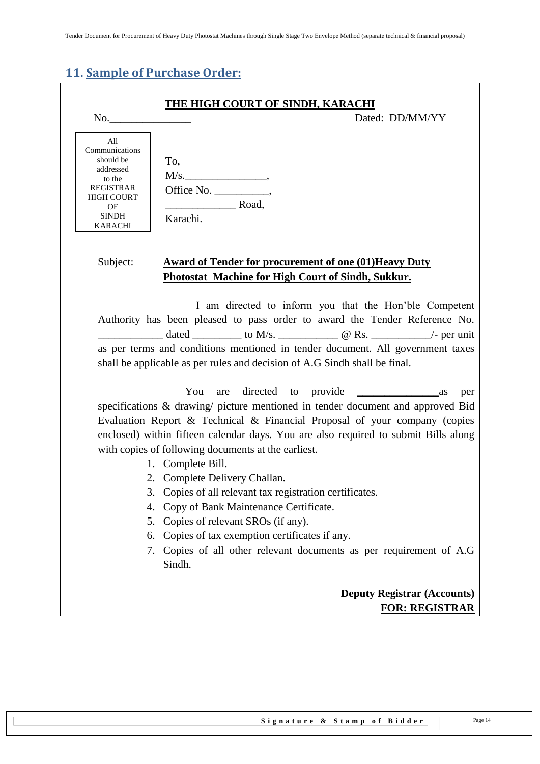## <span id="page-13-0"></span>**11. Sample of Purchase Order:**

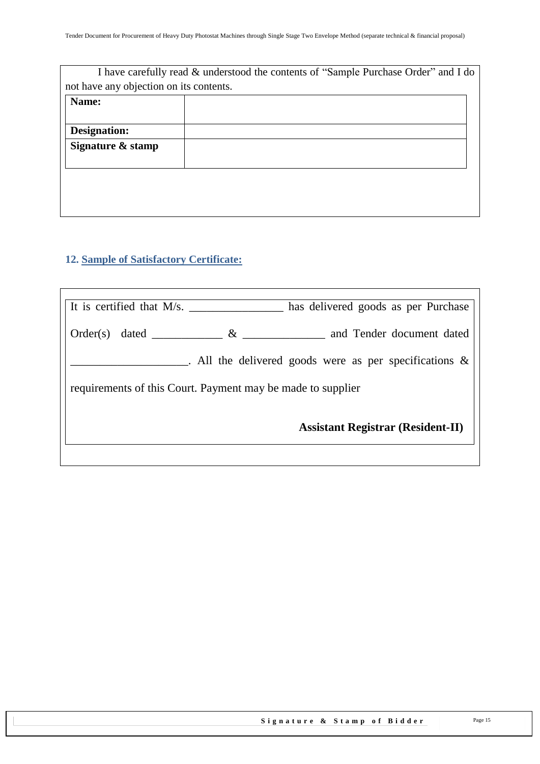| I have carefully read & understood the contents of "Sample Purchase Order" and I do |
|-------------------------------------------------------------------------------------|
| not have any objection on its contents.                                             |
|                                                                                     |
|                                                                                     |
|                                                                                     |
|                                                                                     |
|                                                                                     |
|                                                                                     |
|                                                                                     |
|                                                                                     |
|                                                                                     |

## <span id="page-14-0"></span>**12. Sample of Satisfactory Certificate:**

| It is certified that $M/s$ .                                | has delivered goods as per Purchase                       |
|-------------------------------------------------------------|-----------------------------------------------------------|
| $Order(s)$ dated $\qquad \qquad$<br>$\&$                    | and Tender document dated                                 |
|                                                             | . All the delivered goods were as per specifications $\&$ |
| requirements of this Court. Payment may be made to supplier |                                                           |
|                                                             | <b>Assistant Registrar (Resident-II)</b>                  |
|                                                             |                                                           |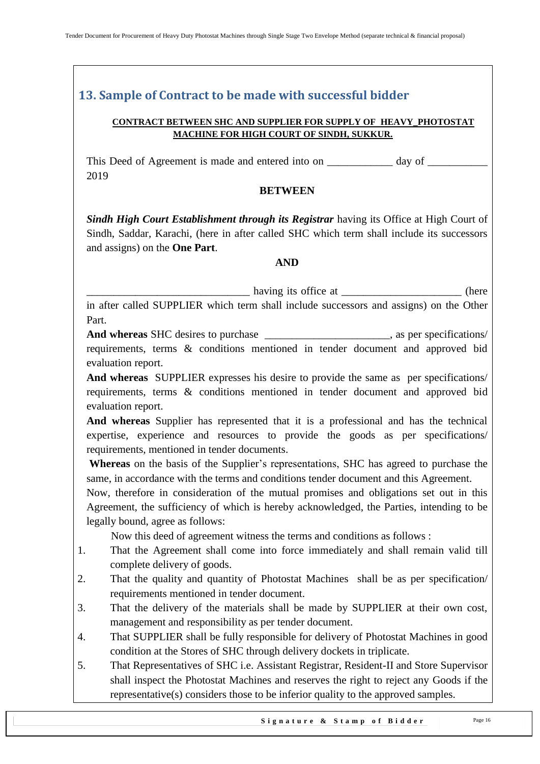## <span id="page-15-0"></span>**13. Sample of Contract to be made with successful bidder**

#### **CONTRACT BETWEEN SHC AND SUPPLIER FOR SUPPLY OF HEAVY\_PHOTOSTAT MACHINE FOR HIGH COURT OF SINDH, SUKKUR.**

This Deed of Agreement is made and entered into on \_\_\_\_\_\_\_\_\_\_\_\_\_ day of \_\_\_\_\_\_\_\_\_\_\_\_\_\_\_ 2019

#### **BETWEEN**

*Sindh High Court Establishment through its Registrar having its Office at High Court of* Sindh, Saddar, Karachi, (here in after called SHC which term shall include its successors and assigns) on the **One Part**.

#### **AND**

\_\_\_\_\_\_\_\_\_\_\_\_\_\_\_\_\_\_\_\_\_\_\_\_\_\_\_\_\_\_ having its office at \_\_\_\_\_\_\_\_\_\_\_\_\_\_\_\_\_\_\_\_\_\_ (here

in after called SUPPLIER which term shall include successors and assigns) on the Other Part.

**And whereas** SHC desires to purchase \_\_\_\_\_\_\_\_\_\_\_\_\_\_\_\_\_\_\_\_\_\_\_, as per specifications/ requirements, terms & conditions mentioned in tender document and approved bid evaluation report.

**And whereas** SUPPLIER expresses his desire to provide the same as per specifications/ requirements, terms & conditions mentioned in tender document and approved bid evaluation report.

**And whereas** Supplier has represented that it is a professional and has the technical expertise, experience and resources to provide the goods as per specifications/ requirements, mentioned in tender documents.

**Whereas** on the basis of the Supplier"s representations, SHC has agreed to purchase the same, in accordance with the terms and conditions tender document and this Agreement.

Now, therefore in consideration of the mutual promises and obligations set out in this Agreement, the sufficiency of which is hereby acknowledged, the Parties, intending to be legally bound, agree as follows:

Now this deed of agreement witness the terms and conditions as follows :

- 1. That the Agreement shall come into force immediately and shall remain valid till complete delivery of goods.
- 2. That the quality and quantity of Photostat Machines shall be as per specification/ requirements mentioned in tender document.
- 3. That the delivery of the materials shall be made by SUPPLIER at their own cost, management and responsibility as per tender document.
- 4. That SUPPLIER shall be fully responsible for delivery of Photostat Machines in good condition at the Stores of SHC through delivery dockets in triplicate.
- 5. That Representatives of SHC i.e. Assistant Registrar, Resident-II and Store Supervisor shall inspect the Photostat Machines and reserves the right to reject any Goods if the representative(s) considers those to be inferior quality to the approved samples.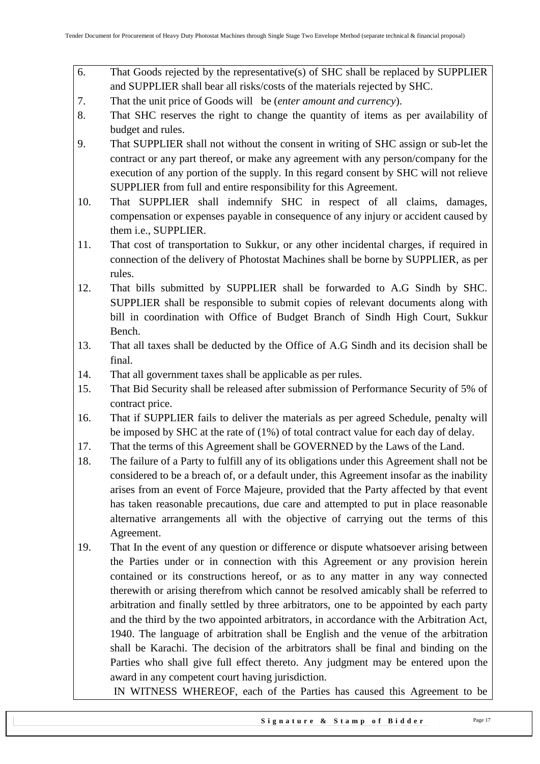- 6. That Goods rejected by the representative(s) of SHC shall be replaced by SUPPLIER and SUPPLIER shall bear all risks/costs of the materials rejected by SHC.
- 7. That the unit price of Goods will be (*enter amount and currency*).
- 8. That SHC reserves the right to change the quantity of items as per availability of budget and rules.
- 9. That SUPPLIER shall not without the consent in writing of SHC assign or sub-let the contract or any part thereof, or make any agreement with any person/company for the execution of any portion of the supply. In this regard consent by SHC will not relieve SUPPLIER from full and entire responsibility for this Agreement.
- 10. That SUPPLIER shall indemnify SHC in respect of all claims, damages, compensation or expenses payable in consequence of any injury or accident caused by them i.e., SUPPLIER.
- 11. That cost of transportation to Sukkur, or any other incidental charges, if required in connection of the delivery of Photostat Machines shall be borne by SUPPLIER, as per rules.
- 12. That bills submitted by SUPPLIER shall be forwarded to A.G Sindh by SHC. SUPPLIER shall be responsible to submit copies of relevant documents along with bill in coordination with Office of Budget Branch of Sindh High Court, Sukkur Bench.
- 13. That all taxes shall be deducted by the Office of A.G Sindh and its decision shall be final.
- 14. That all government taxes shall be applicable as per rules.
- 15. That Bid Security shall be released after submission of Performance Security of 5% of contract price.
- 16. That if SUPPLIER fails to deliver the materials as per agreed Schedule, penalty will be imposed by SHC at the rate of (1%) of total contract value for each day of delay.
- 17. That the terms of this Agreement shall be GOVERNED by the Laws of the Land.
- 18. The failure of a Party to fulfill any of its obligations under this Agreement shall not be considered to be a breach of, or a default under, this Agreement insofar as the inability arises from an event of Force Majeure, provided that the Party affected by that event has taken reasonable precautions, due care and attempted to put in place reasonable alternative arrangements all with the objective of carrying out the terms of this Agreement.
- 19. That In the event of any question or difference or dispute whatsoever arising between the Parties under or in connection with this Agreement or any provision herein contained or its constructions hereof, or as to any matter in any way connected therewith or arising therefrom which cannot be resolved amicably shall be referred to arbitration and finally settled by three arbitrators, one to be appointed by each party and the third by the two appointed arbitrators, in accordance with the Arbitration Act, 1940. The language of arbitration shall be English and the venue of the arbitration shall be Karachi. The decision of the arbitrators shall be final and binding on the Parties who shall give full effect thereto. Any judgment may be entered upon the award in any competent court having jurisdiction.

IN WITNESS WHEREOF, each of the Parties has caused this Agreement to be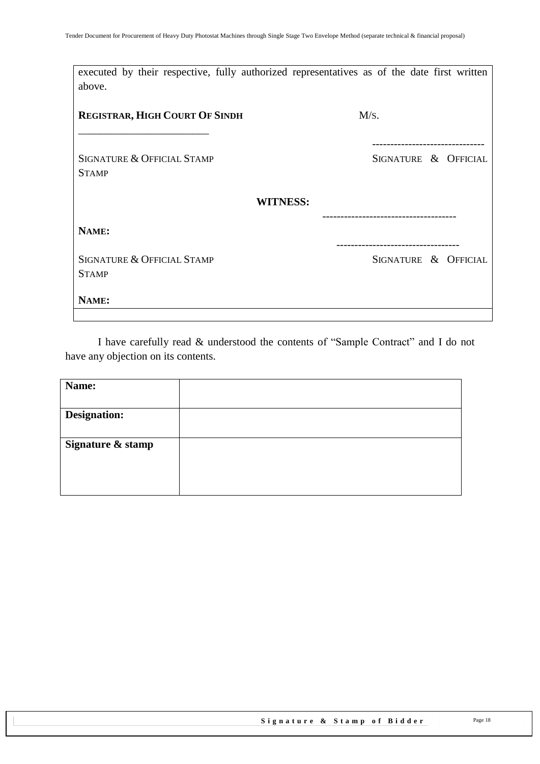| executed by their respective, fully authorized representatives as of the date first written<br>above. |                      |
|-------------------------------------------------------------------------------------------------------|----------------------|
| <b>REGISTRAR, HIGH COURT OF SINDH</b>                                                                 | M/s.                 |
| <b>SIGNATURE &amp; OFFICIAL STAMP</b><br><b>STAMP</b>                                                 | SIGNATURE & OFFICIAL |
| <b>WITNESS:</b>                                                                                       |                      |
| NAME:                                                                                                 |                      |
| <b>SIGNATURE &amp; OFFICIAL STAMP</b><br><b>STAMP</b>                                                 | SIGNATURE & OFFICIAL |
| NAME:                                                                                                 |                      |

I have carefully read & understood the contents of "Sample Contract" and I do not have any objection on its contents.

| Name:               |  |
|---------------------|--|
| <b>Designation:</b> |  |
| Signature & stamp   |  |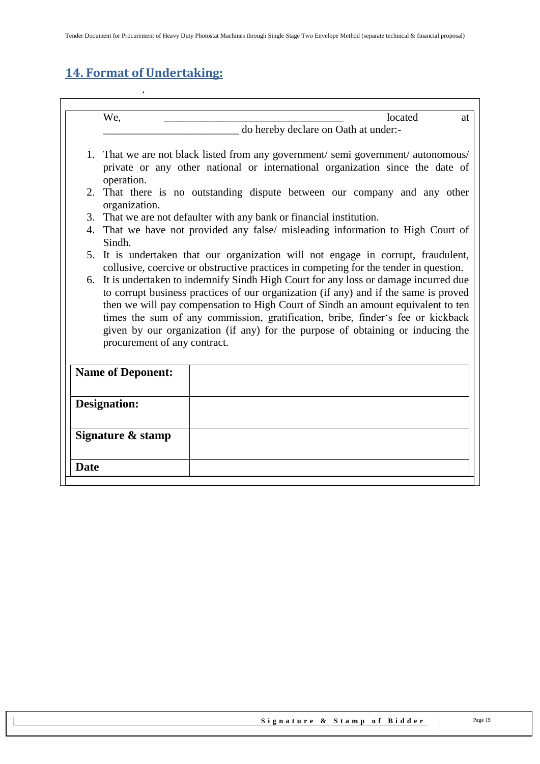# <span id="page-18-0"></span>**14. Format of Undertaking:**

.

| We,<br>located<br>at<br>do hereby declare on Oath at under:-<br>1. That we are not black listed from any government/semi government/autonomous/<br>private or any other national or international organization since the date of<br>operation.<br>2. That there is no outstanding dispute between our company and any other<br>organization.<br>3. That we are not defaulter with any bank or financial institution.<br>4. That we have not provided any false/ misleading information to High Court of<br>Sindh.<br>5. It is undertaken that our organization will not engage in corrupt, fraudulent, |
|--------------------------------------------------------------------------------------------------------------------------------------------------------------------------------------------------------------------------------------------------------------------------------------------------------------------------------------------------------------------------------------------------------------------------------------------------------------------------------------------------------------------------------------------------------------------------------------------------------|
|                                                                                                                                                                                                                                                                                                                                                                                                                                                                                                                                                                                                        |
|                                                                                                                                                                                                                                                                                                                                                                                                                                                                                                                                                                                                        |
|                                                                                                                                                                                                                                                                                                                                                                                                                                                                                                                                                                                                        |
|                                                                                                                                                                                                                                                                                                                                                                                                                                                                                                                                                                                                        |
|                                                                                                                                                                                                                                                                                                                                                                                                                                                                                                                                                                                                        |
|                                                                                                                                                                                                                                                                                                                                                                                                                                                                                                                                                                                                        |
| collusive, coercive or obstructive practices in competing for the tender in question.                                                                                                                                                                                                                                                                                                                                                                                                                                                                                                                  |
| 6. It is undertaken to indemnify Sindh High Court for any loss or damage incurred due<br>to corrupt business practices of our organization (if any) and if the same is proved<br>then we will pay compensation to High Court of Sindh an amount equivalent to ten<br>times the sum of any commission, gratification, bribe, finder's fee or kickback<br>given by our organization (if any) for the purpose of obtaining or inducing the<br>procurement of any contract.                                                                                                                                |
| <b>Name of Deponent:</b>                                                                                                                                                                                                                                                                                                                                                                                                                                                                                                                                                                               |
| <b>Designation:</b>                                                                                                                                                                                                                                                                                                                                                                                                                                                                                                                                                                                    |
| Signature & stamp                                                                                                                                                                                                                                                                                                                                                                                                                                                                                                                                                                                      |
| <b>Date</b>                                                                                                                                                                                                                                                                                                                                                                                                                                                                                                                                                                                            |